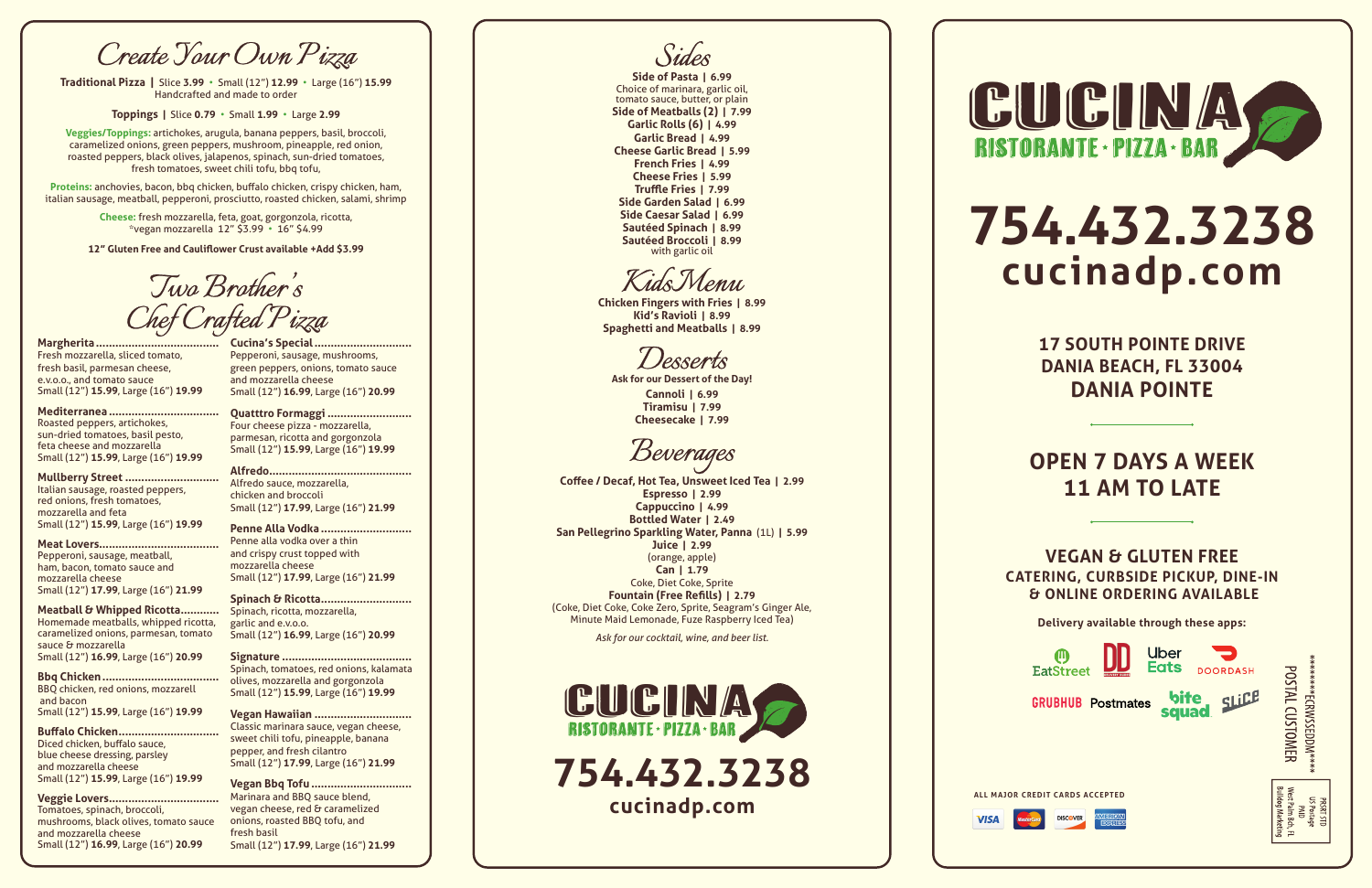**754.432.3238**





**Delivery available through these apps:**

# **754.432.3238 cucinadp.com**

**17 SOUTH POINTE DRIVE DANIA BEACH, FL 33004 DANIA POINTE**

# **OPEN 7 DAYS A WEEK 11 AM TO LATE**

**VEGAN & GLUTEN FREE CATERING, CURBSIDE PICKUP, DINE-IN & ONLINE ORDERING AVAILABLE**





## **Margherita ......................................**

Fresh mozzarella, sliced tomato, fresh basil, parmesan cheese, e.v.o.o., and tomato sauce Small (12") **15.99**, Large (16") **19.99**

**Mediterranea ..................................**

Roasted peppers, artichokes, sun-dried tomatoes, basil pesto, feta cheese and mozzarella Small (12") **15.99**, Large (16") **19.99**

# **Mullberry Street .............................**

Italian sausage, roasted peppers, red onions, fresh tomatoes, mozzarella and feta Small (12") **15.99**, Large (16") **19.99**

## **Meat Lovers.....................................**

**Cucina's Special.....** Pepperoni, sausage, mushrooms, green peppers, onions, tomato sauce and mozzarella cheese Small (12") **16.99**, Large (16") **20.99**

Pepperoni, sausage, meatball, ham, bacon, tomato sauce and mozzarella cheese Small (12") **17.99**, Large (16") **21.99**

# **Meatball & Whipped Ricotta............** Homemade meatballs, whipped ricotta,

caramelized onions, parmesan, tomato sauce & mozzarella Small (12") **16.99**, Large (16") **20.99**

**Bbq Chicken....................................** BBQ chicken, red onions, mozzarell and bacon Small (12") **15.99**, Large (16") **19.99**

# **Buffalo Chicken...............................**

Diced chicken, buffalo sauce, blue cheese dressing, parsley and mozzarella cheese Small (12") **15.99**, Large (16") **19.99**

# **Veggie Lovers..................................**

Tomatoes, spinach, broccoli, mushrooms, black olives, tomato sauce and mozzarella cheese Small (12") **16.99**, Large (16") **20.99**

Choice of marinara, garlic oil, tomato sauce, butter, or plain **Side of Meatballs (2) | 7.99 Garlic Rolls (6) | 4.99 Garlic Bread | 4.99 Cheese Garlic Bread | 5.99 French Fries | 4.99 Cheese Fries | 5.99 Truffle Fries | 7.99 Side Garden Salad | 6.99 Side Caesar Salad | 6.99 Sautéed Spinach | 8.99 Sautéed Broccoli | 8.99** with garlic oil

**Quatttro Formaggi ..........................** Four cheese pizza - mozzarella, parmesan, ricotta and gorgonzola Small (12") **15.99**, Large (16") **19.99**

**Alfredo............................................** Alfredo sauce, mozzarella, chicken and broccoli Small (12") **17.99**, Large (16") **21.99**

# **Penne Alla Vodka ............................**

Penne alla vodka over a thin and crispy crust topped with mozzarella cheese Small (12") **17.99**, Large (16") **21.99**

# **Spinach & Ricotta............................**

Spinach, ricotta, mozzarella, garlic and e.v.o.o. Small (12") **16.99**, Large (16") **20.99**

# **Signature ........................................**

Spinach, tomatoes, red onions, kalamata olives, mozzarella and gorgonzola Small (12") **15.99**, Large (16") **19.99**

# **Vegan Hawaiian ..............................**

Classic marinara sauce, vegan cheese, sweet chili tofu, pineapple, banana pepper, and fresh cilantro Small (12") **17.99**, Large (16") **21.99**

# **Vegan Bbq Tofu ...............................**

Marinara and BBQ sauce blend, vegan cheese, red & caramelized onions, roasted BBQ tofu, and fresh basil Small (12") **17.99**, Large (16") **21.99**

*Create Your Own Pizza*

**Traditional Pizza |** Slice **3.99** • Small (12") **12.99**  • Large (16") **15.99** Handcrafted and made to order

**Toppings |** Slice **0.79** • Small **1.99** • Large **2.99**

**Veggies/Toppings:** artichokes, arugula, banana peppers, basil, broccoli, caramelized onions, green peppers, mushroom, pineapple, red onion, roasted peppers, black olives, jalapenos, spinach, sun-dried tomatoes, fresh tomatoes, sweet chili tofu, bbq tofu,

**Proteins:** anchovies, bacon, bbq chicken, buffalo chicken, crispy chicken, ham, italian sausage, meatball, pepperoni, prosciutto, roasted chicken, salami, shrimp

> **Cheese:** fresh mozzarella, feta, goat, gorgonzola, ricotta, \*vegan mozzarella 12" \$3.99 • 16" \$4.99

**12" Gluten Free and Cauliflower Crust available +Add \$3.99**

*Sides* **Side of Pasta | 6.99**

*Kids Menu*

**Chicken Fingers with Fries | 8.99 Kid's Ravioli | 8.99 Spaghetti and Meatballs | 8.99**

*Desserts*

**Ask for our Dessert of the Day! Cannoli | 6.99 Tiramisu | 7.99 Cheesecake | 7.99**

*Beverages*

**Coffee / Decaf, Hot Tea, Unsweet Iced Tea | 2.99 Espresso | 2.99 Cappuccino | 4.99 Bottled Water | 2.49 San Pellegrino Sparkling Water, Panna** (1L) **| 5.99 Juice | 2.99** (orange, apple) **Can | 1.79** Coke, Diet Coke, Sprite **Fountain (Free Refills) | 2.79** (Coke, Diet Coke, Coke Zero, Sprite, Seagram's Ginger Ale, Minute Maid Lemonade, Fuze Raspberry Iced Tea)

*Ask for our cocktail, wine, and beer list.*

*Two Brother's Chef Crafted Pizza*